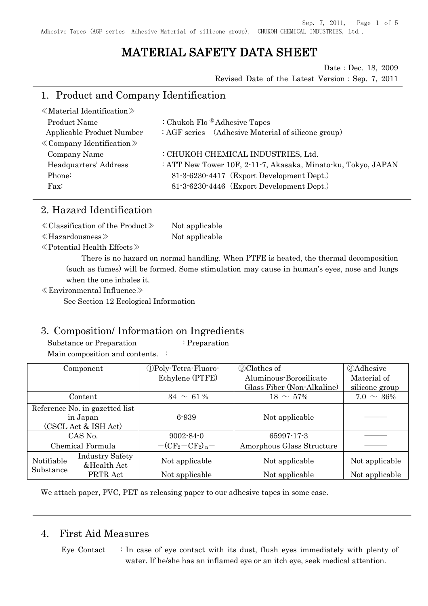Sep. 7, 2011, Page 1 of 5

Adhesive Tapes (AGF series Adhesive Material of silicone group), CHUKOH CHEMICAL INDUSTRIES, Ltd.,

# MATERIAL SAFETY DATA SHEET

Date: Dec. 18, 2009 Revised Date of the Latest Version:Sep. 7, 2011

### 1. Product and Company Identification

| $\langle$ Material Identification $\rangle$ |                                                               |
|---------------------------------------------|---------------------------------------------------------------|
| Product Name                                | : Chukoh Flo $\&$ Adhesive Tapes                              |
| Applicable Product Number                   | $: AGF$ series (Adhesive Material of silicone group)          |
| $\&$ Company Identification $\&$            |                                                               |
| Company Name                                | : CHUKOH CHEMICAL INDUSTRIES, Ltd.                            |
| Headquarters' Address                       | : ATT New Tower 10F, 2-11-7, Akasaka, Minato-ku, Tokyo, JAPAN |
| Phone:                                      | 81-3-6230-4417 (Export Development Dept.)                     |
| $\text{Fax}:$                               | 81-3-6230-4446 (Export Development Dept.)                     |
|                                             |                                                               |

### 2. Hazard Identification

| $\langle$ Classification of the Product $\rangle$ | Not applicable |
|---------------------------------------------------|----------------|
| $\ll$ Hazardousness $\gg$                         | Not applicable |

≪Potential Health Effects≫

There is no hazard on normal handling. When PTFE is heated, the thermal decomposition (such as fumes) will be formed. Some stimulation may cause in human's eyes, nose and lungs when the one inhales it.

≪Environmental Influence≫

See Section 12 Ecological Information

### 3. Composition/ Information on Ingredients

Substance or Preparation : Preparation Main composition and contents. :

|            | Component                      | <b><i>OPoly-Tetra-Fluoro-</i></b> | 2 Clothes of               | <b>3Adhesive</b> |
|------------|--------------------------------|-----------------------------------|----------------------------|------------------|
|            |                                | Ethylene (PTFE)                   | Aluminous-Borosilicate     | Material of      |
|            |                                |                                   | Glass Fiber (Non-Alkaline) | silicone group   |
|            | Content                        | $34 \sim 61\%$                    | $18 \sim 57\%$             | $7.0 \sim 36\%$  |
|            | Reference No. in gazetted list |                                   |                            |                  |
| in Japan   |                                | 6-939                             | Not applicable             |                  |
|            | (CSCL Act & ISH Act)           |                                   |                            |                  |
|            | CAS No.                        | $9002 - 84 - 0$                   | 65997-17-3                 |                  |
|            | Chemical Formula               | $-(CF_2-CF_2)_n-$                 | Amorphous Glass Structure  |                  |
| Notifiable | <b>Industry Safety</b>         | Not applicable                    | Not applicable             | Not applicable   |
| Substance  | &Health Act                    |                                   |                            |                  |
|            | PRTR Act                       | Not applicable                    | Not applicable             | Not applicable   |

We attach paper, PVC, PET as releasing paper to our adhesive tapes in some case.

### 4. First Aid Measures

Eye Contact  $\therefore$  In case of eye contact with its dust, flush eyes immediately with plenty of water. If he/she has an inflamed eye or an itch eye, seek medical attention.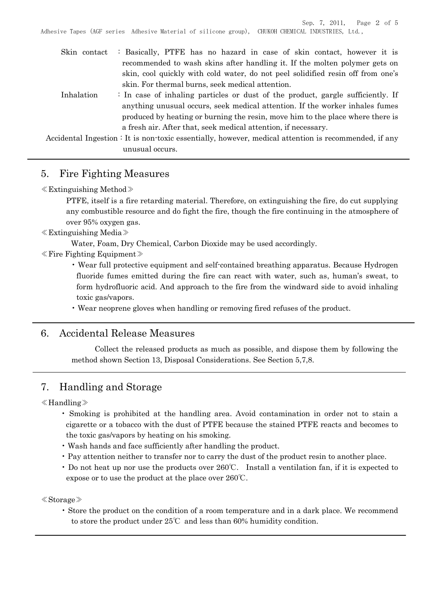Sep. 7, 2011, Page 2 of 5 Adhesive Tapes (AGF series Adhesive Material of silicone group), CHUKOH CHEMICAL INDUSTRIES, Ltd.,

| Skin contact | : Basically, PTFE has no hazard in case of skin contact, however it is                                                                                          |
|--------------|-----------------------------------------------------------------------------------------------------------------------------------------------------------------|
|              | recommended to wash skins after handling it. If the molten polymer gets on<br>skin, cool quickly with cold water, do not peel solidified resin off from one's   |
|              | skin. For thermal burns, seek medical attention.                                                                                                                |
| Inhalation   | : In case of inhaling particles or dust of the product, gargle sufficiently. If<br>anything unusual occurs, seek medical attention. If the worker inhales fumes |
|              | produced by heating or burning the resin, move him to the place where there is                                                                                  |
|              | a fresh air. After that, seek medical attention, if necessary.                                                                                                  |
|              | exidentel Ingestion : It is non-toxic essentially however modical attention is recommended if any                                                               |

Accidental Ingestion : It is non-toxic essentially, however, medical attention is recommended, if any unusual occurs.

## 5. Fire Fighting Measures

≪Extinguishing Method≫

PTFE, itself is a fire retarding material. Therefore, on extinguishing the fire, do cut supplying any combustible resource and do fight the fire, though the fire continuing in the atmosphere of over 95% oxygen gas.

≪Extinguishing Media≫

Water, Foam, Dry Chemical, Carbon Dioxide may be used accordingly.

- ≪Fire Fighting Equipment≫
	- Wear full protective equipment and self-contained breathing apparatus. Because Hydrogen fluoride fumes emitted during the fire can react with water, such as, human's sweat, to form hydrofluoric acid. And approach to the fire from the windward side to avoid inhaling toxic gas/vapors.
	- Wear neoprene gloves when handling or removing fired refuses of the product.

### 6. Accidental Release Measures

Collect the released products as much as possible, and dispose them by following the method shown Section 13, Disposal Considerations. See Section 5,7,8.

# 7. Handling and Storage

≪Handling≫

- Smoking is prohibited at the handling area. Avoid contamination in order not to stain a cigarette or a tobacco with the dust of PTFE because the stained PTFE reacts and becomes to the toxic gas/vapors by heating on his smoking.
- Wash hands and face sufficiently after handling the product.
- Pay attention neither to transfer nor to carry the dust of the product resin to another place.
- Do not heat up nor use the products over 260°C. Install a ventilation fan, if it is expected to expose or to use the product at the place over 260℃.

≪Storage≫

• Store the product on the condition of a room temperature and in a dark place. We recommend to store the product under 25℃ and less than 60% humidity condition.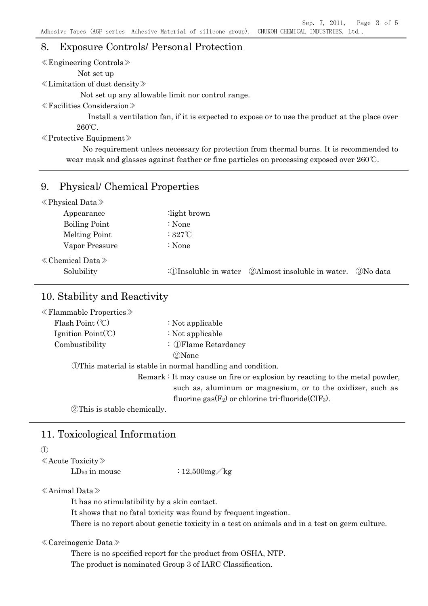## 8. Exposure Controls/ Personal Protection

| $\ll$ Engineering Controls $\gg$                                                                           |
|------------------------------------------------------------------------------------------------------------|
| Not set up                                                                                                 |
| $\ll$ Limitation of dust density $\gg$                                                                     |
| Not set up any allowable limit nor control range.                                                          |
| $\ll$ Facilities Consideraion $\gg$                                                                        |
| Install a ventilation fan, if it is expected to expose or to use the product at the place over             |
| $260^{\circ}$ C.                                                                                           |
| $\langle$ Protective Equipment $\rangle$                                                                   |
| No requirement unless necessary for protection from thermal burns. It is recommended to                    |
| wear mask and glasses against feather or fine particles on processing exposed over $260^{\circ}\text{C}$ . |
| $\Omega$ $\Omega$ $\Omega$ $\Omega$ $\Omega$ $\Omega$ $\Omega$ $\Omega$                                    |

### 9. Physical/ Chemical Properties

| $\langle$ Physical Data $\rangle$     |                                                                              |
|---------------------------------------|------------------------------------------------------------------------------|
| Appearance                            | light brown:                                                                 |
| <b>Boiling Point</b>                  | : None                                                                       |
| Melting Point                         | : $327^\circ\text{C}$                                                        |
| Vapor Pressure                        | : None                                                                       |
| $\&$ Chemical Data $\&$<br>Solubility | <b>2</b> Almost insoluble in water.<br>3) No data<br>: 10 Insoluble in water |

# 10. Stability and Reactivity

| $\ll$ Flammable Properties $\gg$                                            |                                                                  |  |
|-----------------------------------------------------------------------------|------------------------------------------------------------------|--|
| Flash Point (°C)                                                            | : Not applicable                                                 |  |
| Ignition $Point(C)$                                                         | : Not applicable                                                 |  |
| Combustibility                                                              | $\therefore$ (DFlame Retardancy)                                 |  |
|                                                                             | 2 None                                                           |  |
|                                                                             | <b>This material is stable in normal handling and condition.</b> |  |
| Remark : It may cause on fire or explosion by reacting to the metal powder, |                                                                  |  |
| such as, aluminum or magnesium, or to the oxidizer, such as                 |                                                                  |  |
| fluorine $\text{gas}(F_2)$ or chlorine tri-fluoride(ClF <sub>3</sub> ).     |                                                                  |  |
|                                                                             |                                                                  |  |

②This is stable chemically.

# 11. Toxicological Information

#### ①

≪Acute Toxicity≫

 $LD_{50}$  in mouse  $: 12,500$ mg/kg

#### ≪Animal Data≫

It has no stimulatibility by a skin contact.

It shows that no fatal toxicity was found by frequent ingestion.

There is no report about genetic toxicity in a test on animals and in a test on germ culture.

#### ≪Carcinogenic Data≫

There is no specified report for the product from OSHA, NTP. The product is nominated Group 3 of IARC Classification.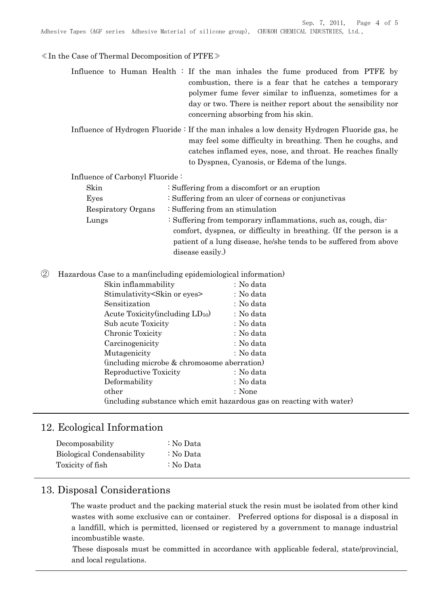Sep. 7, 2011, Page 4 of 5 Adhesive Tapes (AGF series Adhesive Material of silicone group), CHUKOH CHEMICAL INDUSTRIES, Ltd.,

#### $\ll$ In the Case of Thermal Decomposition of PTFE $\gg$

Influence to Human Health : If the man inhales the fume produced from PTFE by combustion, there is a fear that he catches a temporary polymer fume fever similar to influenza, sometimes for a day or two. There is neither report about the sensibility nor concerning absorbing from his skin.

Influence of Hydrogen Fluoride : If the man inhales a low density Hydrogen Fluoride gas, he may feel some difficulty in breathing. Then he coughs, and catches inflamed eyes, nose, and throat. He reaches finally to Dyspnea, Cyanosis, or Edema of the lungs.

Influence of Carbonyl Fluoride :

| Skin               | : Suffering from a discomfort or an eruption                      |  |
|--------------------|-------------------------------------------------------------------|--|
| Eyes               | : Suffering from an ulcer of corneas or conjunctivas              |  |
| Respiratory Organs | $\therefore$ Suffering from an stimulation                        |  |
| Lungs              | : Suffering from temporary inflammations, such as, cough, dis-    |  |
|                    | comfort, dyspnea, or difficulty in breathing. (If the person is a |  |
|                    | patient of a lung disease, he/she tends to be suffered from above |  |
|                    | disease easily.)                                                  |  |

② Hazardous Case to a man(including epidemiological information)

| Skin inflammability                         | : No data                                                             |
|---------------------------------------------|-----------------------------------------------------------------------|
| Stimulativity Skin or eyes                  | : No data                                                             |
| Sensitization                               | : No data                                                             |
| Acute Toxicity (including $LD_{50}$ )       | : No data                                                             |
| Sub acute Toxicity                          | : No data                                                             |
| Chronic Toxicity                            | : No data                                                             |
| Carcinogenicity                             | : No data                                                             |
| Mutagenicity                                | : No data                                                             |
| (including microbe & chromosome aberration) |                                                                       |
| Reproductive Toxicity                       | : No data                                                             |
| Deformability                               | : No data                                                             |
| other                                       | : None                                                                |
|                                             | (including substance which emit hazardous gas on reacting with water) |
|                                             |                                                                       |

### 12. Ecological Information

| Decomposability                  | : No Data |
|----------------------------------|-----------|
| <b>Biological Condensability</b> | : No Data |
| Toxicity of fish                 | : No Data |

## 13. Disposal Considerations

The waste product and the packing material stuck the resin must be isolated from other kind wastes with some exclusive can or container. Preferred options for disposal is a disposal in a landfill, which is permitted, licensed or registered by a government to manage industrial incombustible waste.

These disposals must be committed in accordance with applicable federal, state/provincial, and local regulations.